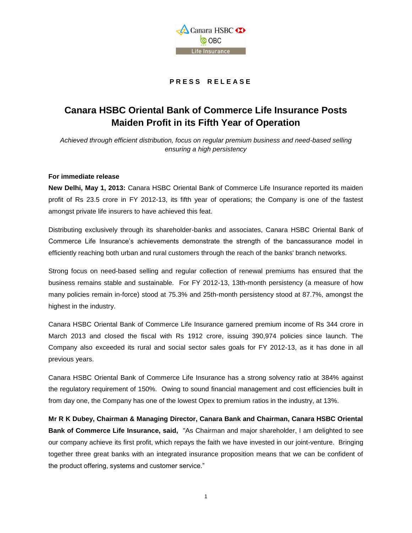

# **P R E S S R E L E A S E**

# **Canara HSBC Oriental Bank of Commerce Life Insurance Posts Maiden Profit in its Fifth Year of Operation**

*Achieved through efficient distribution, focus on regular premium business and need-based selling ensuring a high persistency*

#### **For immediate release**

**New Delhi, May 1, 2013:** Canara HSBC Oriental Bank of Commerce Life Insurance reported its maiden profit of Rs 23.5 crore in FY 2012-13, its fifth year of operations; the Company is one of the fastest amongst private life insurers to have achieved this feat.

Distributing exclusively through its shareholder-banks and associates, Canara HSBC Oriental Bank of Commerce Life Insurance's achievements demonstrate the strength of the bancassurance model in efficiently reaching both urban and rural customers through the reach of the banks' branch networks.

Strong focus on need-based selling and regular collection of renewal premiums has ensured that the business remains stable and sustainable. For FY 2012-13, 13th-month persistency (a measure of how many policies remain in-force) stood at 75.3% and 25th-month persistency stood at 87.7%, amongst the highest in the industry.

Canara HSBC Oriental Bank of Commerce Life Insurance garnered premium income of Rs 344 crore in March 2013 and closed the fiscal with Rs 1912 crore, issuing 390,974 policies since launch. The Company also exceeded its rural and social sector sales goals for FY 2012-13, as it has done in all previous years.

Canara HSBC Oriental Bank of Commerce Life Insurance has a strong solvency ratio at 384% against the regulatory requirement of 150%. Owing to sound financial management and cost efficiencies built in from day one, the Company has one of the lowest Opex to premium ratios in the industry, at 13%.

**Mr R K Dubey, Chairman & Managing Director, Canara Bank and Chairman, Canara HSBC Oriental Bank of Commerce Life Insurance, said,** "As Chairman and major shareholder, I am delighted to see our company achieve its first profit, which repays the faith we have invested in our joint-venture. Bringing together three great banks with an integrated insurance proposition means that we can be confident of the product offering, systems and customer service."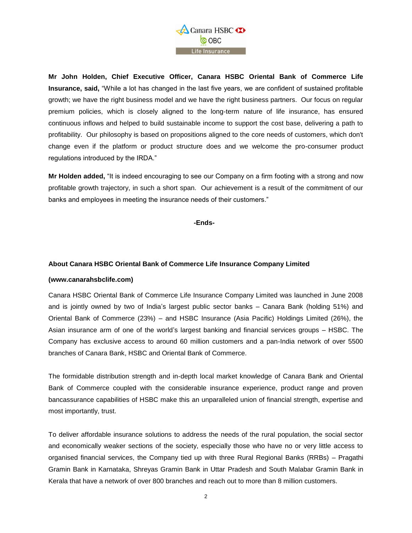

**Mr John Holden, Chief Executive Officer, Canara HSBC Oriental Bank of Commerce Life Insurance, said,** "While a lot has changed in the last five years, we are confident of sustained profitable growth; we have the right business model and we have the right business partners. Our focus on regular premium policies, which is closely aligned to the long-term nature of life insurance, has ensured continuous inflows and helped to build sustainable income to support the cost base, delivering a path to profitability. Our philosophy is based on propositions aligned to the core needs of customers, which don't change even if the platform or product structure does and we welcome the pro-consumer product regulations introduced by the IRDA."

**Mr Holden added,** "It is indeed encouraging to see our Company on a firm footing with a strong and now profitable growth trajectory, in such a short span. Our achievement is a result of the commitment of our banks and employees in meeting the insurance needs of their customers."

**-Ends-**

# **About Canara HSBC Oriental Bank of Commerce Life Insurance Company Limited**

### **[\(www.canarahsbclife.com\)](http://www.canarahsbclife.com/)**

Canara HSBC Oriental Bank of Commerce Life Insurance Company Limited was launched in June 2008 and is jointly owned by two of India's largest public sector banks – Canara Bank (holding 51%) and Oriental Bank of Commerce (23%) – and HSBC Insurance (Asia Pacific) Holdings Limited (26%), the Asian insurance arm of one of the world's largest banking and financial services groups – HSBC. The Company has exclusive access to around 60 million customers and a pan-India network of over 5500 branches of Canara Bank, HSBC and Oriental Bank of Commerce.

The formidable distribution strength and in-depth local market knowledge of Canara Bank and Oriental Bank of Commerce coupled with the considerable insurance experience, product range and proven bancassurance capabilities of HSBC make this an unparalleled union of financial strength, expertise and most importantly, trust.

To deliver affordable insurance solutions to address the needs of the rural population, the social sector and economically weaker sections of the society, especially those who have no or very little access to organised financial services, the Company tied up with three Rural Regional Banks (RRBs) – Pragathi Gramin Bank in Karnataka, Shreyas Gramin Bank in Uttar Pradesh and South Malabar Gramin Bank in Kerala that have a network of over 800 branches and reach out to more than 8 million customers.